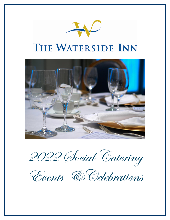



2022 Social Catering

Events &Celebrations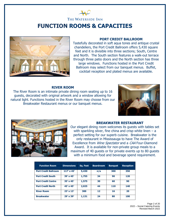## THE WATERSIDE INN **FUNCTION ROOMS & CAPACITIES**



#### **PORT CREDIT BALLROOM**

Tastefully decorated in soft aqua tones and antique crystal chandeliers, the Port Credit Ballroom offers 5,430 square feet and it is divisible into three sections; South, Centre and North. The South section features a walk-out terrace through three patio doors and the North section has three large windows. Functions hosted in the Port Credit Ballroom may select from our banquet menus. Buffet, cocktail reception and plated menus are available.

#### **RIVER ROOM**

The River Room is an intimate private dining room seating up to 16 guests, decorated with original artwork and a window allowing for natural light. Functions hosted in the River Room may choose from our Breakwater Restaurant menus or our banquet menus.





#### **BREAKWATER RESTAURANT**

Our elegant dining room welcomes its guests with tables set with sparkling silver, fine china and crisp white linen  $- a$ perfect setting for our superb cuisine. Breakwater is the only restaurant in Mississauga to have The Award of Excellence from Wine Spectator and a CAA Four-Diamond Award. It is available for non-private group meals to a maximum of 40 guests or for private events up to 80 guests with a minimum food and beverage spend requirement.

| <b>Function Room</b>        | <b>Dimensions</b> | Sq. Feet | <b>Boardroom</b> | <b>Banquet</b> | <b>Reception</b> |
|-----------------------------|-------------------|----------|------------------|----------------|------------------|
| <b>Port Credit Ballroom</b> | $117' \times 45'$ | 5,430    | n/a              | 300            | 350              |
| <b>Port Credit South</b>    | $39' \times 45'$  | 1,755    | 34               | 90             | 120              |
| <b>Port Credit Centre</b>   | $35' \times 45'$  | 1,575    | 30               | 60             | 90               |
| <b>Port Credit North</b>    | $45' \times 45'$  | 2,025    | 44               | 110            | 140              |
| <b>River Room</b>           | $23' \times 13'$  | 300      | 12               | 16             | 20               |
| <b>Breakwater</b>           | $29' \times 39'$  | 1,131    | 24               | 80             | 100              |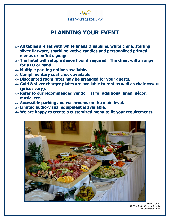

## **PLANNING YOUR EVENT**

- **All tables are set with white linens & napkins, white china, sterling silver flatware, sparkling votive candles and personalized printed menus or buffet signage.**
- **The hotel will setup a dance floor if required. The client will arrange for a DJ or band.**
- **Multiple parking options available.**
- **Complimentary coat check available.**
- **Discounted room rates may be arranged for your guests.**
- **Gold & silver charger plates are available to rent as well as chair covers (prices vary).**
- **Refer to our recommended vendor list for additional linen, décor, music, etc.**
- **Accessible parking and washrooms on the main level.**
- **Limited audio-visual equipment is available.**
- **We are happy to create a customized menu to fit your requirements.**



Page 3 of 20 2022 – Social Catering Events Revised March 2022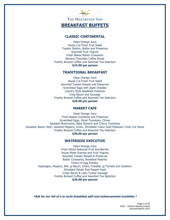

#### **CLASSIC CONTINENTAL**

Oasis Orange Juice House Cut Fresh Fruit Salad Toaster Station, Butter and Preserves Assorted Fruit Yogurts Fresh Baked Butter Croissants Banana Chocolate Coffee Bread Freshly Brewed Coffee and Assorted Tea Selection **\$23.00 per person**

#### **TRADITIONAL BREAKFAST**

Oasis Orange Juice House Cut Fresh Fruit Salad Assorted Toaster Breads and Preserves Scrambled Eggs with Aged Cheddar Country Style Breakfast Potatoes Crisp Bacon and Sausage Freshly Brewed Coffee and Assorted Tea Selection **\$29.00 per person**

#### **MARKET CAFE**

Oasis Orange Juice Fresh Baked Croissants and Preserves Scrambled Eggs, Diced Tomatoes, Chives Sautéed Mushrooms, Baby Spinach and Cherry Tomatoes Canadian Bacon Hash, Sauteed Peppers, Onion, Shredded Yukon Gold Potatoes, Fresh Cut Herbs Freshly Brewed Coffee and Assorted Tea Selection **\$30.00 per person**

#### **WATERSIDE EXECUTIVE**

Oasis Orange Juice Fresh Sliced Seasonal Fruit and Berries House Made Granola and Fruit Yogurts Assorted Toaster Breads & Preserves Butter Croissants, Breakfast Pastries Choice of Egg Frittata: Asparagus, Peppers, Brie or Bacon, Onion, Cheddar or Tomato and Scallions Shredded Potato Red Pepper Hash Crispy Bacon & Lean Turkey Sausage Freshly Brewed Coffee and Assorted Tea Selection **\$36.00 per person**

**\*Ask for our list of a la carte breakfast add-ons/enhancements available.\***

Page 4 of 20 2022 – Social Catering Events Revised March 2022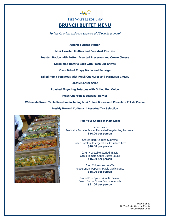

Perfect for bridal and baby showers of 15 guests or more!

**Assorted Juices Station**

**Mini Assorted Muffins and Breakfast Pastries**

**Toaster Station with Butter, Assorted Preserves and Cream Cheese**

**Scrambled Ontario Eggs with Fresh Cut Chives**

**Oven Baked Crispy Bacon and Sausage**

**Baked Roma Tomatoes with Fresh Cut Herbs and Parmesan Cheese**

**Classic Caesar Salad**

**Roasted Fingerling Potatoes with Grilled Red Onion**

**Fresh Cut Fruit & Seasonal Berries**

**Waterside Sweet Table Selection including Mini Crème Brulee and Chocolate Pot de Creme**

**Freshly Brewed Coffee and Assorted Tea Selection**



#### **Plus Your Choice of Main Dish:**

Penne Pasta Arrabiatta Tomato Sauce, Marinated Vegetables, Parmesan **\$44.00 per person**

> Seared Herb Chicken Supreme Grilled Ratatouille Vegetables, Crumbled Feta **\$46.00 per person**

> > Cajun Vegetable Stuffed Tilapia Citrus Tomato Caper Butter Sauce **\$46.00 per person**

Fried Chicken and Waffle Pepperoncini Peppers, Maple Garlic Sauce **\$48.00 per person**

Seared Five Spiced Atlantic Salmon Brown Butter Green Beans, Almonds **\$51.00 per person**

> Page 5 of 20 2022 – Social Catering Events Revised March 2022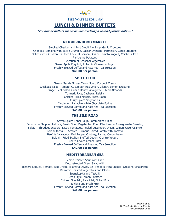

### **LUNCH & DINNER BUFFETS**

**\*For dinner buffets we recommend adding a second protein option.\***

#### **NEIGHBORHOOD MARKET**

Smoked Cheddar and Port Credit Ale Soup, Garlic Croutons Chopped Romaine with Bacon Crumble, Caesar Dressing, Parmesan, Garlic Croutons Grilled Citrus Chicken, Sautéed Leek, Mushroom, Grape Tomato Ragout, Chicken Glaze Parisienne Potatoes Selection of Seasonal Vegetables Sweet Apple Egg Roll, Rolled in Cinnamon Sugar Freshly Brewed Coffee and Assorted Tea Selection **\$40.00 per person**

#### **SPICE CLUB**

Garam Masala Ginger Carrot Soup, Coconut Cream Chickpea Salad, Tomato, Cucumber, Red Onion, Cilantro Lemon Dressing Ginger Beet Salad, Cumin Honey Vinaigrette, Sliced Almonds Turmeric Rice, Cashews, Raisins Chicken Tikka Masala, Fresh Naan Curry Spiced Vegetables Cardamom Pistachio White Chocolate Fudge Freshly Brewed Coffee and Assorted Tea Selection **\$40.00 per person**

#### **THE SILK ROAD**

Seven Spiced Lentil Soup, Caramelized Onion Fattoush – Chopped Lettuce, Fresh Diced Vegetables, Fried Pita, Lemon Pomegranate Dressing Salata – Shredded Iceberg, Diced Tomatoes, Peeled Cucumber, Onion, Lemon Juice, Cilantro Borani Kachalu – Stewed Turmeric Spiced Potato with Tomato Beef Kafta Kabobs, Red Pepper Chutney, Pickled Onion, Naan Bolani – Fried Scallion Stuffed Dough, Cilantro Yogurt Chef's Choice Cream Puffs Freshly Brewed Coffee and Assorted Tea Selection **\$42.00 per person**

#### **MEDITERRANEAN SEA**

Lemon Chicken Soup with Orzo Deconstructed Greek Salad with Iceberg Lettuce, Tomato, Red Onion, Kalamata Olives, Bell Peppers, Feta Cheese, Oregano Vinaigrette Balsamic Roasted Vegetables and Olives Spanakopita and Tzatziki Greek Style Lemon Potatoes Chicken Souvlaki, Rice Pilaf, Grilled Pita Baklava and Fresh Fruit Freshly Brewed Coffee and Assorted Tea Selection **\$42.00 per person**

> Page 6 of 20 2022 – Social Catering Events Revised March 2022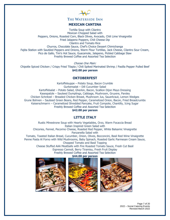

#### **MEXICAN CANTINA**

Tortilla Soup with Cilantro Mexican Chopped Salad with Peppers, Onions, Roasted Corn, Black Olives, Avocado, Chili Lime Vinaigrette Fried Jalapeno Poppers, Chili Cheese Dip Cilantro and Tomato Rice Churros, Chocolate Sauce, Chef's Choice Dessert Chimichanga Fajita Station with Sautéed Peppers and Onions, Warm Flour Tortillas, Jack Cheese, Cilantro Sour Cream, Pico de Gallo, Tim's Hot Sauce, Guacamole, Jalapeno, Pickled Cabbage Slaw Freshly Brewed Coffee and Assorted Tea Selection

Choose One Main: Chipotle Spiced Chicken / Crispy Fried Tilapia / Chili Spiked Marinated Shrimp / Pasilla Pepper Pulled Beef **\$42.00 per person**

#### **OKTOBERFEST**

Kartoffelsuppe – Potato Soup, Bacon Crumble Gurkensalat – Dill Cucumber Salad Kartoffelsalat – Potato Salad, Gherkin, Bacon, Scallion Dijon Mayo Dressing Kasespatzle – Sauteed Dumplings, Cabbage, Mushroom, Gruyere, Parsley Chicken Schnitzel – Breaded Chicken Breast, Mushroom Jus, Sauerkraut, Lemon Wedges Grune Bohnen – Sauteed Green Beans, Red Pepper, Caramelized Onion, Bacon, Fried Breadcrumbs Kaiserschmarrn – Caramelized Shredded Pancake, Fruit Compote, Chantilly, Icing Sugar Freshly Brewed Coffee and Assorted Tea Selection **\$42.00 per person**

### **LITTLE ITALY**

Rustic Minestrone Soup with Hearty Vegetables, Orzo, Warm Focaccia Bread Italian Inspired Green Salad with Chicories, Fennel, Pecorino Cheese, Roasted Red Pepper, White Balsamic Vinaigrette Panzanella Salad with Tomato, Toasted Italian Bread, Cucumber, Onion, Olives, Bocconcini, Basil Red Wine Vinaigrette Penne Pasta Al Forno with Wild Mushrooms, Baby Spinach, Roasted Garlic Parmesan Cream Sauce, Chopped Tomato and Basil Topping Cheese Stuffed AAA Meatballs with Fire Roasted Tomato Sauce, Fresh Cut Basil Espresso Cannoli, Berry Tiramisu, Fresh Fruit Display Freshly Brewed Coffee and Assorted Tea Selection

**\$44.00 per person**



Page 7 of 20 2022 – Social Catering Events Revised March 2022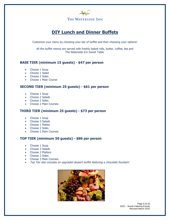

## **DIY Lunch and Dinner Buffets**

Customize your menu by choosing your tier of buffet and then choosing your options!

All the buffet menus are served with freshly baked rolls, butter, coffee, tea and The Waterside Inn Sweet Table.

#### **BASE TIER (minimum 15 guests) - \$47 per person**

- Choose 1 Soup
- Choose 1 Salad
- Choose 2 Sides
- Choose 1 Main Course

#### **SECOND TIER (minimum 25 guests) - \$61 per person**

- Choose 1 Soup
- Choose 2 Salads
- Choose 2 Sides
- Choose 2 Main Courses

#### **THIRD TIER (minimum 25 guests) - \$73 per person**

- Choose 1 Soup
- Choose 3 Salads
- Choose 1 Platter
- Choose 2 Sides
- Choose 2 Main Courses

### **TOP TIER (minimum 50 guests) - \$86 per person**

- Choose 1 Soup
- Choose 3 Salads
- Choose 2 Platters
- Choose 2 Sides
- Choose 3 Main Courses
- Top Tier also includes an upgraded dessert buffet featuring a chocolate fountain!



Page 8 of 20 2022 – Social Catering Events Revised March 2022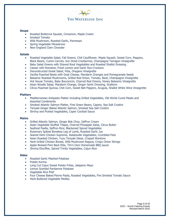

#### **Soups**

- Roasted Butternut Squash, Cinnamon, Maple Cream
- Smoked Tomato
- Wild Mushroom, Roasted Garlic, Parmesan
- Spring Vegetable Minestrone
- New England Clam Chowder

#### **Salads**

- Roasted Vegetable Salad, Fall Greens, Chili Cauliflower, Maple Squash, Sweet Corn, Peppers, Black Beans, Cumin Carrots, Sun Dried Cranberries, Champagne Tarragon Vinaigrette
- Baby Salad Greens with Shaved Root Vegetables and Roasted Shallot Dressing
- Caesar with Romaine, Fresh Lemon and Garlic Rye Croutons
- Deconstructed Greek Salad, Feta, Oregano Vinaigrette
- Vanilla Poached Beets with Goat Cheese, Mandarin Oranges and Pomegranate Seeds
- Balsamic Roasted Mushrooms, Grilled Red Onion, Tomato, Basil, Champagne Vinaigrette
- Hot House Tomato, Baby Bocconcini, Charred Red Onions, Honey Balsamic Vinaigrette
- Asian Noodle Salad, Mandarin Orange, Ginger Garlic Dressing, Scallions
- Citrus Poached Quinoa, Chili Corn, Sweet Bell Peppers, Arugula, Shallot White Wine Vinaigrette

#### **Platters**

- Mediterranean Antipasto Platter including Grilled Vegetables, Old World Cured Meats and Assorted Condiments
- Smoked Atlantic Salmon Platter, Fine Green Beans, Capers, Sea Salt Crostini
- Teriyaki Ginger Baked Atlantic Salmon, Smoked Sea Salt Crostini
- Shrimp and Pickled Vegetables, Caper Cocktail Sauce

#### **Mains**

- Grilled Atlantic Salmon, Ginger Bok Choy, Saffron Cream
- Asian Vegetable Stuffed Tilapia, Charred Pineapple Salsa, Citrus Butter
- Seafood Paella, Saffron Rice, Blackened Spiced Vegetables
- Rosemary Spiked Boneless Leg of Lamb, Roasted Garlic Jus
- Seared Herb Chicken Supreme, Ratatouille Vegetables, Crumbled Feta
- Asian Roasted Chicken, Yuzu Teriyaki Glaze, Crisped Wontons
- Herb Grilled Chicken Breast, Wild Mushroom Ragout, Crispy Onion Strings
- Apple Braised Pork Back Ribs, Tim's Own Homemade BBQ sauce
- Shrimp Etouffee, Spiced Trinity Vegetables, Cajun Rice

#### **Sides**

- Roasted Garlic Mashed Potatoes
- Potato Korma
- Long Cut Cajun Sweet Potato Frites, Jalapeno Mayo
- Lemon Scented Parisienne Potatoes
- Vegetable Rice Pilaf
- Four Cheese Baked Penne Pasta, Roasted Vegetables, Fire Smoked Tomato Sauce
- Herb Buttered Vegetable Medley

Page 9 of 20 2022 – Social Catering Events Revised March 2022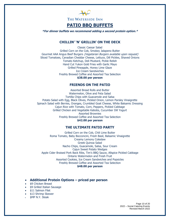

### **PATIO BBQ BUFFETS**

**\*For dinner buffets we recommend adding a second protein option.\***

#### **CHILLIN' 'N' GRILLIN' ON THE DECK**

Classic Caesar Salad Grilled Corn on the Cob, Smokey Jalapeno Butter Gourmet AAA Angus Beef Burgers (Vegetarian Burgers available upon request) Sliced Tomatoes, Canadian Cheddar Cheese, Lettuce, Dill Pickles, Shaved Onions Tomato Ketchup, Deli Mustard, Pickle Relish Hand Cut Yukon Gold Fries with Garlic Mayo Grilled Pineapple, Honey Lime Glaze Ice Cream Sandwiches Freshly Brewed Coffee and Assorted Tea Selection **\$38.00 per person**

#### **FRIENDS ON THE PATIO**

Assorted Bread Rolls and Butter Watermelon, Olive and Feta Salad Tortilla Chips with Guacamole and Salsa Potato Salad with Egg, Black Olives, Pickled Onion, Lemon Parsley Vinaigrette Spinach Salad with Berries, Oranges, Crumbled Goat Cheese, White Balsamic Dressing Cajun Rice with Tomato, Corn, Peppers, Pickled Cabbage Grilled Chicken and Vegetable Kabobs, Cucumber Dill Yogurt Assorted Brownies Freshly Brewed Coffee and Assorted Tea Selection **\$42.00 per person**

#### **THE ULTIMATE PATIO PARTY**

Grilled Corn on the Cob, Chili Lime Butter Roma Tomato, Baby Bocconcini, Fresh Basil, Balsamic Vinaigrette Creamy Lemony Coleslaw Greek Quinoa Salad Nacho Chips, Guacamole, Salsa, Sour Cream Cajun Sweet Potato Wedges Apple Cider Braised Pork Back Ribs, Tim's BBQ Sauce, Allspice Pickled Cabbage Ontario Watermelon and Fresh Fruit Assorted Cookies, Ice Cream Sandwiches and Popsicles Freshly Brewed Coffee and Assorted Tea Selection **\$48.00 per person**

#### • **Additional Protein Options – priced per person**

- \$9 Chicken Breast
- \$9 Grilled Italian Sausage
- \$11 Salmon Filet
- \$13 Shrimp Skewer
- \$MP N.Y. Steak

Page 10 of 20 2022 – Social Catering Events Revised March 2022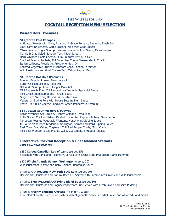

### **COCKTAIL RECEPTION MENU SELECTION**

#### **Passed Hors D'oeuvres**

#### **\$42/dozen Cold Canapes**

Antipasto Skewer with Olive, Bocconcini, Grape Tomato, Balsamic, Fresh Basil Black Olive Bruschetta, Garlic Crostini, Woolwich Goat Cheese Citrus Poached Tiger Shrimp, Cilantro Lemon Cocktail Sauce, Micro Greens Mango & Crab Salad, Savoury Tart, Micro Sprouts Herb Whipped Goats Cheese, Plum Chutney, Phyllo Basket Smoked Salmon Roulade, Dill Cucumber Cream Cheese, Garlic Crostini Italian Lollipops, Prosciutto, Provolone, Basil Oil Roasted Vegetable Stuffed Mushroom Caps, Padano Parmesan Wild Mushroom and Goat Cheese Tart, Yellow Pepper Pesto

#### **\$48/dozen Hot Hors D'oeuvres**

Brie and Double Smoked Bacon Arancini Butter Chicken Lollipop, Raita Dip Hokkaido Shrimp Skewer, Ginger Miso Aioli Mini Buttermilk Fried Chicken and Waffles with Maple Hot Sauce Mini Greek Spanakopita and Tzatziki Sauce Ginger Beef Skewers, Horseradish Mustard Aioli Vegetarian Spring Rolls with House Sesame Plum Sauce Petite Brie Grilled Cheese Sandwich, Green Peppercorn Ketchup

#### **\$54 /dozen Gourmet Hors D'oeuvres**

Bacon Wrapped Sea Scallop, Cilantro Chipotle Remoulade Kofta Spiced Chicken Sliders, Pickled Onion, Red Pepper Chutney, Sesame Bun Moroccan Roasted Vegetable Wontons, Honey Mint Dipping Sauce In House Made Beef Tenderloin Wellington, Sriracha Mustard Dipping Sauce East Coast Crab Cakes, Togarashi Chili Red Pepper Coulis, Micro Cress Mini Beef Wonton Tacos, Pico de Gallo, Guacamole, Shredded Cheese

#### **Interactive Cocktail Reception & Chef Manned Stations Plus \$60/hour chef fee**

\$280 **Carved Canadian Leg of Lamb** (serves 15) Seasoned with Garlic and Rosemary, Served with Tzatziki and Pita Bread, Garlic Hummus

\$300 **Whole Atlantic Salmon Wellington** (serves 30) Wild Mushroom Duxelle and Baby Spinach, Bearnaise Sauce

\$Market **AAA Roasted New York Strip Loin** (serves 20) Horseradish, Mustards and Natural Beef Jus, Served with Caramelized Onions and Wild Mushrooms

\$Market **Slow Roasted AAA Prime Rib of Beef** (serves 30) Horseradish, Mustards and Cognac Peppercorn Jus, Served with Fresh Baked Yorkshire Pudding

\$Market **Freshly Shucked Oysters** (minimum 100pcs)

Price Market Fresh Selection of Oysters with Mignonette Sauce, Cocktail Sauce and Assorted Condiments

Page 11 of 20 2022 – Social Catering Events Revised March 2022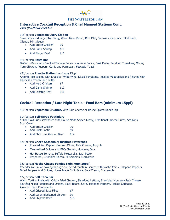#### **Interactive Cocktail Reception & Chef Manned Stations Cont. Plus \$60/hour chef fee**

#### \$15/person **Vegetable Curry Station**

Slow Simmered Vegetable Curry, Warm Naan Bread, Rice Pilaf, Samosas, Cucumber Mint Raita, Cilantro Mint Sauce

- Add Butter Chicken \$9
- Add Garlic Shrimp \$10
- Add Ginger Beef \$16

#### \$16/person **Pasta Bar**

DeCecco Pasta with Smoked Tomato Sauce or Alfredo Sauce, Basil Pesto, Sundried Tomatoes, Olives, Torn Chicken, Peppers, Garlic and Parmesan, Foccacia Toast

#### \$21/person **Risotto Station** (minimum 25ppl)

Arborio Rice cooked with Shallots, White Wine, Diced Tomatoes, Roasted Vegetables and finished with Parmesan Cheese and Butter

- Add Herb Chicken \$7
- Add Garlic Shrimp \$10
- Add Lobster Meat \$16

#### **Cocktail Reception / Late Night Table - Food Bars (minimum 15ppl)**

\$10/person **Vegetable Crudités,** with Blue Cheese or House Spiced Ranch Dip

#### \$14/person **Self-Serve Poutiniere**

Yukon Gold Fries smothered with House Made Spiced Gravy, Traditional Cheese Curds, Scallions, Sour Cream

- Add Butter Chicken \$9
- Add Duck Confit \$9
- Add Chili Lime Ground Beef \$14

#### \$20/person **Chef's Seasonally Inspired Flatbreads**

- Roasted Red Pepper, Cracked Olives, Feta Cheese, Arugula
- Caramelized Onions and BBQ Chicken, Monteray Jack
- Hot House Tomato, Buffalo Mozzarella, Basil Pesto
- Pepperoni, Crumbled Bacon, Mushrooms, Mozzarella

#### \$20/person **Nacho Cheese Fondue (minimum 50ppl)**

Cheddar Ale Sauce flowing through our tiered fountain, served with Nacho Chips, Jalapeno Peppers, Diced Peppers and Onions, House Made Chili, Salsa, Sour Cream, Guacamole

#### \$22/person **Soft Taco Bar**

Warm Tortilla Shells with Crispy Fried Chicken, Shredded Lettuce, Shredded Monterey Jack Cheese, Sautéed Mixed Peppers and Onions, Black Beans, Corn, Jalapeno Peppers, Pickled Cabbage, Assorted Taco Condiments

- Add Crisped Basa Fillet \$7
- Add Cajun Blackened Chicken \$9
- Add Chipotle Beef \$16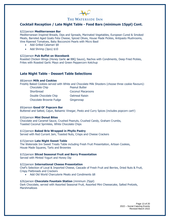

#### **Cocktail Reception / Late Night Table - Food Bars (minimum 15ppl) Cont.**

#### \$22/person **Mediterranean Bar**

Mediterranean Inspired Breads, Dips and Spreads, Marinated Vegetables, European Cured & Smoked Meats, Barreled Aged Goats Feta Cheese, Spiced Olives, House Made Pickles, Antipasto Mushrooms, Vine Ripened Tomatoes, Baby Bocconcini Pearls with Micro Basil

- Add Grilled Calamari \$8
- Add Shrimp (3pcs) \$10

#### \$22/person **Pub Buffet on Stavebank**

Roasted Chicken Wings (Honey Garlic **or** BBQ Sauce), Nachos with Condiments, Deep Fried Pickles, Frites with Roasted Garlic Mayo and Green Peppercorn Ketchup

#### **Late Night Table - Dessert Table Selections**

#### \$8/person **Milk and Cookies**

Freshly Baked Cookies served with White and Chocolate Milk Shooters (choose three cookie flavours):

| Chocolate Chip          | <b>Peanut Butter</b>     |
|-------------------------|--------------------------|
| Shortbread              | <b>Coconut Macaroons</b> |
| Double Chocolate Chip   | <b>Oatmeal Raisin</b>    |
| Chocolate Brownie Fudge | Gingersnap               |

#### \$9/person **Good Ol' Popcorn Bar**

Buttered and Salted, Cajun, Balsamic Vinegar, Pesto and Curry Spices (includes popcorn cart!)

#### \$10/person **Mini Donut Bites**

Chocolate and Caramel Sauce, Crushed Peanuts, Crushed Candy, Graham Crumbs, Toasted Coconut Sprinkles, White Chocolate Chips

#### \$12/person **Baked Brie Wrapped in Phyllo Pastry**

Served with Red Currant Jam, Toasted Nuts, Crisps and Cheese Crackers

#### \$15/person **Late Night Sweet Table**

The Waterside Inn Sweet Treats Table including Fresh Fruit Presentation, Artisan Cookies, House Made Squares, Tarts and Brownies

#### \$15/person **Sliced Seasonal Fruit and Berry Presentation**

Served with Minted Yogurt and Honey Dip

#### \$22/person **International Cheese Presentation**

Chef's Selection of Local & Imported Cheese, Cascade of Fresh Fruit and Berries, Dried Nuts & Fruit, Crispy Flatbreads and Crackers

• Add Old World Charcuterie Meats and Condiments \$8

#### \$26/person **Chocolate Fountain Station** (minimum 25ppl)

Dark Chocolate, served with Assorted Seasonal Fruit, Assorted Mini Cheesecake, Salted Pretzels, **Marshmallows** 

> Page 13 of 20 2022 – Social Catering Events Revised March 2022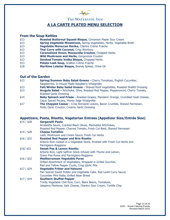

### **A LA CARTE PLATED MENU SELECTION**

#### **From the Soup Kettles**

- \$13 **Roasted Butternut Squash Bisque,** Cinnamon Maple Sour Cream
- \$13 **Spring Vegetable Minestrone,** Spring Vegetables, Herbs, Vegetable Broth
- \$13 **Vegetable Moroccan Harika,** Cilantro Crème Fraiche
- \$13 **Thai Curry with Coconut, Crisp Wontons**
- \$13 **Caramelized Onion, Mozzarella Crouton,** Chopped Herbs
- \$13 **Wild Mushroom and Herbs,** Gorgonzola Crouton
- \$13 **Smoked Tomato Vodka Bisque,** Chopped Herbs
- \$13 **Potato Leek Soup, Scallion Crème Fraiche**
- \$18 **Maritime Lobster Bisque,** Brandy Spiked, Chive Oil

#### **Out of the Garden**

- \$13 **Spring/Summer Baby Salad Greens -** Cherry Tomatoes, English Cucumber, Raspberries, In House Made Raspberry Vinaigrette
- \$13 **Fall/Winter Baby Salad Greens -** Shaved Root Vegetables, Roasted Shallot Dressing
- \$13 **Arugula Salad –** Artichoke, Olive, Roasted Red Pepper, Pepperoncini, Cherry Tomato, Roasted Garlic Dressing
- \$14 **Baby Spinach and Frisée -** Roasted Grapes, Mandarin Orange, Crumbled Goat Cheese, Cajun Spiced Pecans, Honey Sage Vinaigrette
- \$17 **The Chopped Caesar -** Crisp Romaine Leaves, Bacon Crumble, Shaved Parmesan, Pesto Garlic Crouton, Creamy Garlic Dressing

#### **Appetizers, Pasta, Risotto, Vegetarian Entrees (Appetizer Size/Entrée Size)**

- \$14 / \$28 **Garganelli Pasta**  Arrabiatta Sauce, Cracked Black Olives, Marinated Artichokes, Roasted Red Pepper, Charred Tomato, Fresh Cut Basil, Shaved Parmesan \$14 / \$28 **Cheese Tortellini**  Leek, Mushroom and Cream Sauce, Fresh Cut Herbs \$16 / \$32 **Roasted Red Pepper and Brie Risotto**  Arborio Rice cooked in a Vegetable Stock, finished with Fresh Cut Herbs and Parmigiano-Reggiano \$16/ \$32 **Sweet Pea & Lemon Risotto**  Arborio Rice, Light Saffron Stock infused with Thyme and Lemon, Green Pea Puree and Parmigiano-Reggiano \$16 / \$32 **Mediterranean Vegetable Purse** Grilled Assortment of Vegetables, Wrapped in Grilled Zucchini, Red and Yellow Pepper Coulis, Crisp Garlic Pita \$17 / \$34 **Vegetable Fritter and Haloumi** Pan Seared Sweet Potato and Vegetable Cake, Red Lentil Curry Sauce, Cucumber Mint Raita, Grilled Naan Bread \$17 / \$34 **Southern Stuffed Pepper** Trinity Vegetable Chili Rice, Corn, Black Beans, Tomatoes,
	- Jalapeno Monteray Jack Cheese, Cilantro Sour Cream, Tortilla Chip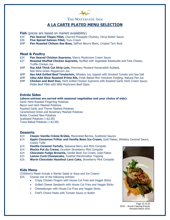

### **A LA CARTE PLATED MENU SELECTION**

**Fish** (prices are based on market availability)

- \$34 **Pan Seared Tilapia Fillet,** Charred Pineapple Chutney, Citrus Butter Sauce
- \$36 **Five Spiced Salmon Fillet,** Yuzu Cream
- \$MP **Pan Roasted Chilean Sea Bass,** Saffron Beurre Blanc, Crisped Taro Root

#### **Meat & Poultry**

- \$34 **Pan Seared Chicken Supreme,** Sherry Mushroom Cream Sauce
- \$37 **Roasted Stuffed Chicken Supreme,** Stuffed with Vegetable Ratatouille and Feta Cheese, Truffle Chicken Jus
- \$MP **9oz AAA Thick Cut Strip Loin,** Pommery Mustard Horseradish Rubbed, Red Wine Green Peppercorn Jus
- \$MP **6oz AAA Grilled Beef Tenderloin,** Whiskey Jus, topped with Smoked Tomato and Sea Salt
- \$MP **10oz AAA Slow Roasted Prime Rib,** Fresh Baked Mini Yorkshire Pudding, Natural Pan Jus
- \$MP **Chicken and Beef Duo,** Herb Grilled Chicken Supreme with Roasted Garlic Herb Cream Sauce, Petite Beef Fillet with Wild Mushroom Beef Glaze

#### **Entrée Sides**

#### **(above entrees are served with seasonal vegetables and your choice of side):**

Garlic Herb Roasted Fingerling Potatoes Bacon and Herb Mashed Potatoes Roasted Garlic and Thyme Mashed Potatoes Caramelized Onion and Rosemary Mashed Potatoes Butter Crushed New Potatoes Scalloped Potatoes (+\$2.00) Twice Baked Potatoes (+\$2.00)

#### **Desserts**

- \$14 **Classic Vanilla Crème Brûlée,** Macerated Berries, Scattered Sauces
- \$14 **Apple Cinnamon Fritter and Vanilla Bean Ice Cream,** Gold Flakes, Whiskey Caramel Sauce, Cookie Tuille
- \$14 **Vanilla Caramel Tartufo,** Seasonal Berry and Mint Compote
- \$14 **Mocha Pot du Creme,** Drunken Strawberry Mint Compote
- \$14 **Chocolate Fudge Brownie,** Vanilla Bean Ice Cream, Gold Flakes
- \$15 **Lemon Curd Cheesecake, Toasted Marshmallow Topping**
- \$16 **Warm Chocolate Hazelnut Lava Cake,** Strawberry Mint Compote

#### **Kids Menu**

(Children's Meals include a Starter Salad or Soup and Ice Cream)

- \$25 Choose one of the following entrees:
	- Crispy Chicken Fingers with House Cut Fries and Veggie Sticks
	- Grilled Cheese Sandwich with House Cut Fries and Veggie Sticks
	- Cheeseburger with House Cut Fries and Veggie Sticks
	- Chef's Choice Pasta with Tomato Sauce or Butter



Page 15 of 20 2022 – Social Catering Events Revised March 2022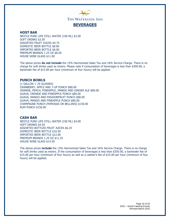

#### **HOST BAR**

NESTLE PURE LIFE STILL WATER (330 ML) \$3.00 SOFT DRINKS \$3.50 ASSORTED FRUIT JUICES \$4.75 DOMESTIC BEER BOTTLE \$8.00 IMPORTED BEER BOTTLE \$9.00 PREMIUM BRANDS 1.25 OZ \$8.50 HOUSE WINE GLASS \$11.00

The above prices **do not include** the 13% Harmonized Sales Tax and 16% Service Charge. There is no charge for soft drinks used as mixers. Please note if consumption of beverages is less than \$300.00, a bartender fee of \$15.00 per hour (minimum of four hours) will be applied.

#### **PUNCH BOWLS**

 $(1$  GALLON = 25 GLASSES) CRANBERRY, APPLE AND 7-UP PUNCH \$80.00 ORANGE, PEACH, PINEAPPLE, MANGO AND GINGER ALE \$80.00 GUAVA, ORANGE AND PINEAPPLE PUNCH \$80.00 GUAVA, MANGO AND PASSIONFRUIT PUNCH \$80.00 GUAVA, MANGO AND PINEAPPLE PUNCH \$80.00 CHAMPAGNE PUNCH (MIMOSAS OR BELLINIS) \$130.00 RUM PUNCH \$150.00

#### **CASH BAR**

NESTLE PURE LIFE STILL WATER (330 ML) \$4.00 SOFT DRINKS \$4.50 ASSORTED BOTTLED FRUIT JUICES \$6.25 DOMESTIC BEER BOTTLE \$10.50 IMPORTED BEER BOTTLE \$12.00 PREMIUM BRANDS 1.25 OZ \$11.25 HOUSE WINE GLASS \$14.50

The above prices **include** the 13% Harmonized Sales Tax and 16% Service Charge. There is no charge for soft drinks used as mixers. If the consumption of beverages is less than \$350.00, a bartender fee of \$15.00 per hour (minimum of four hours) as well as a cashier's fee of \$15.00 per hour (minimum of four hours) will be applied.

> Page 16 of 20 2022 – Social Catering Events Revised March 2022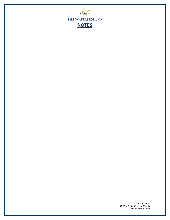

Page 17 of 20 2022 – Social Catering Events Revised March 2022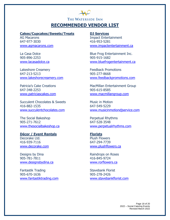## THE WATERSIDE INN **RECOMMENDED VENDOR LIST**

#### **Cakes/Cupcakes/Sweets/Treats DJ Services**

AG Macarons **Impact Entertainment** 647-977-3030 416-953-5281

905-896-2253 905-915-1682

Lakeshore Creamery **Example 20** Feedback Promotions 647-213-5213 905-277-8668

647-348-2253 905-615-8585

Succulent Chocolates & Sweets Music in Motion 416-882-1535 647-549-5229

The Social Bakeshop **Perpetual Rhythms** 905-271-7612 647-528-3548

## **Décor / Event Rentals Florists**

416-939-7116 647-294-7739

Designs by Dina Raindrops on Roses 905-781-7811 416-845-9724 [www.designsbydina.ca](http://www.designsbydina.ca/) [www.rorflowers.ca](http://www.rorflowers.ca/)

Fantastik Trading Stavebank Florist 905-670-1636 905-278-2426

[www.agmacarons.com](http://www.agmacarons.com/) [www.impactentertainment.ca](http://www.impactentertainment.ca/)

La Casa Dolce **Blue Frog Entertainment Inc.** [www.lacasadolce.ca](http://www.lacasadolce.ca/) [www.bluefrogentertainment.ca](http://www.bluefrogentertainment.ca/)

[www.lakeshorecreamery.com](http://www.lakeshorecreamery.com/) [www.feedbackpromotions.com](http://www.feedbackpromotions.com/)

Patricia's Cake Creations **MacMillan Entertainment Group** [www.patriciascakes.com](http://www.patriciascakes.com/) [www.macmillangroup.com](http://www.macmillangroup.com/)

[www.succulentchocolates.com](http://www.succulentchocolates.com/) [www.musicinmotiondjservice.com](http://www.musicinmotiondjservice.com/)

[www.thesocialbakeshop.ca](http://www.thesocialbakeshop.ca/) [www.perpetualrhythms.com](http://www.perpetualrhythms.com/)

# Decorake Ltd. **Plush Flowers** [www.decorake.com](http://www.decorake.com/) [www.plushflowers.ca](http://www.plushflowers.ca/)

[www.fantastiktrading.com](http://www.fantastiktrading.com/) [www.stavebankflorist.com](http://www.stavebankflorist.com/)

Page 18 of 20 2022 – Social Catering Events Revised March 2022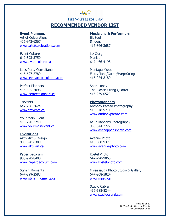## THE WATERSIDE INN **RECOMMENDED VENDOR LIST**

Art of Celebrations BluSoul 416-843-6367 Singers [www.artofcelebrations.com](http://www.artofcelebrations.com/) 416-846-3687

Event Culture Liz Craig 647-393-3750 Pianist [www.eventculture.ca](http://www.eventculture.ca/) 647-466-4198

Let's Party Consultants **Montage Music** [www.letspartconsultants.com](http://www.letspartconsultants.com/) 416-924-8180

Perfect Planners Shari Lundy [www.perfectplanners.ca](http://www.perfectplanners.ca/) 416-239-0523

Trevents **Photographers** [www.trevents.ca](http://www.trevents.ca/) 416-948-9711

Your Main Event [www.yourmainevent.ca](http://www.yourmainevent.ca/) 905-844-2727

### **Invitations**

905-848-6309 416-580-9379

Paper Decorum Kostel Photo 905-990-8400 647-290-9060 [www.paperdecorum.com](http://www.paperdecorum.com/) [www.kostelphoto.com](http://www.kostelphoto.com/)

647-299-2588 647-208-5824 [www.stylishmoments.ca](http://www.stylishmoments.ca/) [www.mpsg.ca](http://www.mpsg.ca/)

### **Event Planners Musicians & Performers**

416-697-2789 Flute/Piano/Guitar/Harp/String

416-805-2096 The Classic String Quartet

647-236-3624 Anthony Parazo Photography [www.anthonyparazo.com](http://www.anthonyparazo.com/)

416-720-2240 As It Happens Photography [www.asithappensphoto.com](http://www.asithappensphoto.com/)

Aktiv Art & Design Avenue Photo [www.aktivart.ca](http://www.aktivart.ca/) [www.avenue-photo.com](http://www.avenue-photo.com/)

Stylish Moments **Mississauga Photo Studio & Gallery** 

Studio Cabral 416-588-8244 [www.studiocabral.com](http://www.studiocabral.com/)

> Page 19 of 20 2022 – Social Catering Events Revised March 2022